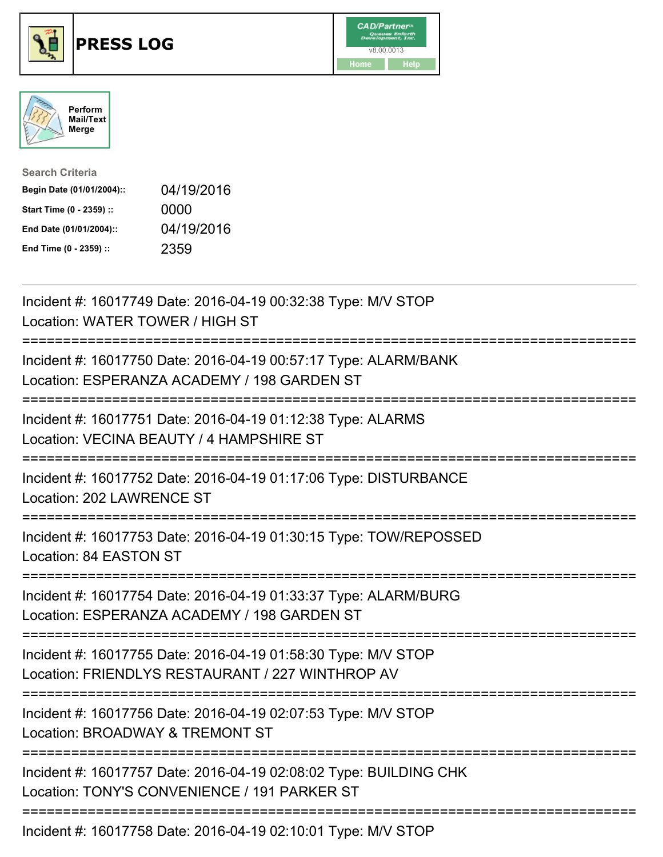





| <b>Search Criteria</b>    |            |
|---------------------------|------------|
| Begin Date (01/01/2004):: | 04/19/2016 |
| Start Time (0 - 2359) ::  | 0000       |
| End Date (01/01/2004)::   | 04/19/2016 |
| End Time (0 - 2359) ::    | 2359       |

| Incident #: 16017749 Date: 2016-04-19 00:32:38 Type: M/V STOP<br>Location: WATER TOWER / HIGH ST                                                                     |
|----------------------------------------------------------------------------------------------------------------------------------------------------------------------|
| Incident #: 16017750 Date: 2016-04-19 00:57:17 Type: ALARM/BANK<br>Location: ESPERANZA ACADEMY / 198 GARDEN ST                                                       |
| Incident #: 16017751 Date: 2016-04-19 01:12:38 Type: ALARMS<br>Location: VECINA BEAUTY / 4 HAMPSHIRE ST<br>======================                                    |
| Incident #: 16017752 Date: 2016-04-19 01:17:06 Type: DISTURBANCE<br>Location: 202 LAWRENCE ST                                                                        |
| Incident #: 16017753 Date: 2016-04-19 01:30:15 Type: TOW/REPOSSED<br>Location: 84 EASTON ST                                                                          |
| Incident #: 16017754 Date: 2016-04-19 01:33:37 Type: ALARM/BURG<br>Location: ESPERANZA ACADEMY / 198 GARDEN ST<br>===============================                    |
| Incident #: 16017755 Date: 2016-04-19 01:58:30 Type: M/V STOP<br>Location: FRIENDLYS RESTAURANT / 227 WINTHROP AV                                                    |
| ====================================<br>Incident #: 16017756 Date: 2016-04-19 02:07:53 Type: M/V STOP<br>Location: BROADWAY & TREMONT ST<br>:======================= |
| Incident #: 16017757 Date: 2016-04-19 02:08:02 Type: BUILDING CHK<br>Location: TONY'S CONVENIENCE / 191 PARKER ST                                                    |
| Incident #: 16017758 Date: 2016-04-19 02:10:01 Type: M/V STOP                                                                                                        |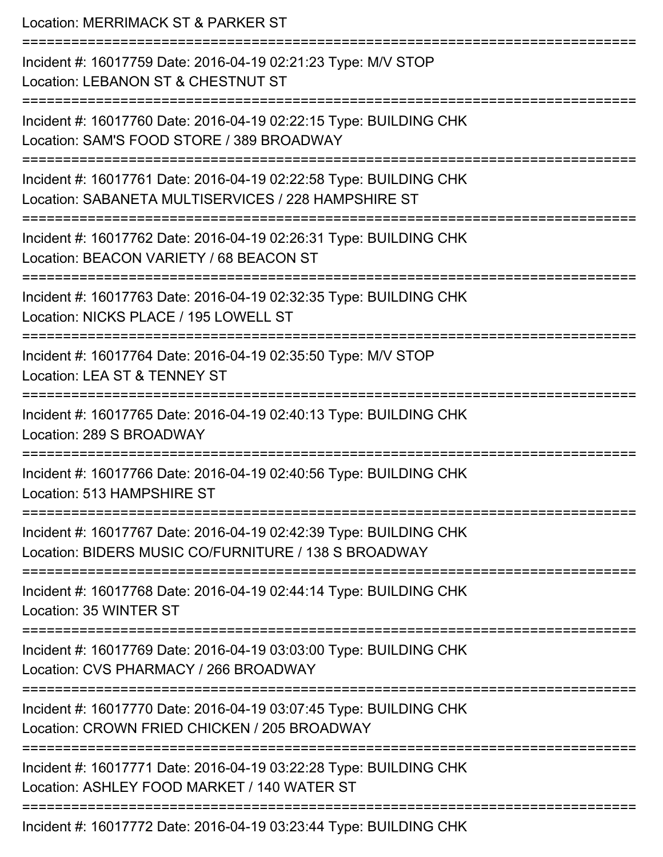Location: MERRIMACK ST & PARKER ST =========================================================================== Incident #: 16017759 Date: 2016-04-19 02:21:23 Type: M/V STOP Location: LEBANON ST & CHESTNUT ST =========================================================================== Incident #: 16017760 Date: 2016-04-19 02:22:15 Type: BUILDING CHK Location: SAM'S FOOD STORE / 389 BROADWAY =========================================================================== Incident #: 16017761 Date: 2016-04-19 02:22:58 Type: BUILDING CHK Location: SABANETA MULTISERVICES / 228 HAMPSHIRE ST =========================================================================== Incident #: 16017762 Date: 2016-04-19 02:26:31 Type: BUILDING CHK Location: BEACON VARIETY / 68 BEACON ST **=========================** Incident #: 16017763 Date: 2016-04-19 02:32:35 Type: BUILDING CHK Location: NICKS PLACE / 195 LOWELL ST =========================================================================== Incident #: 16017764 Date: 2016-04-19 02:35:50 Type: M/V STOP Location: LEA ST & TENNEY ST =========================================================================== Incident #: 16017765 Date: 2016-04-19 02:40:13 Type: BUILDING CHK Location: 289 S BROADWAY =========================================================================== Incident #: 16017766 Date: 2016-04-19 02:40:56 Type: BUILDING CHK Location: 513 HAMPSHIRE ST =========================================================================== Incident #: 16017767 Date: 2016-04-19 02:42:39 Type: BUILDING CHK Location: BIDERS MUSIC CO/FURNITURE / 138 S BROADWAY =========================================================================== Incident #: 16017768 Date: 2016-04-19 02:44:14 Type: BUILDING CHK Location: 35 WINTER ST =========================================================================== Incident #: 16017769 Date: 2016-04-19 03:03:00 Type: BUILDING CHK Location: CVS PHARMACY / 266 BROADWAY =========================================================================== Incident #: 16017770 Date: 2016-04-19 03:07:45 Type: BUILDING CHK Location: CROWN FRIED CHICKEN / 205 BROADWAY =========================================================================== Incident #: 16017771 Date: 2016-04-19 03:22:28 Type: BUILDING CHK Location: ASHLEY FOOD MARKET / 140 WATER ST ===========================================================================

Incident #: 16017772 Date: 2016-04-19 03:23:44 Type: BUILDING CHK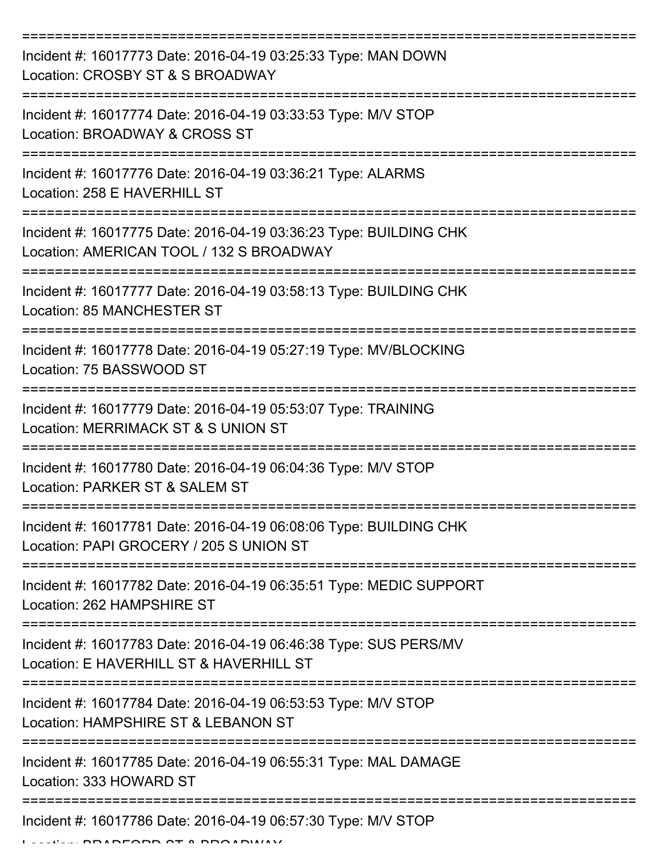| Incident #: 16017773 Date: 2016-04-19 03:25:33 Type: MAN DOWN<br>Location: CROSBY ST & S BROADWAY                                      |
|----------------------------------------------------------------------------------------------------------------------------------------|
| Incident #: 16017774 Date: 2016-04-19 03:33:53 Type: M/V STOP<br>Location: BROADWAY & CROSS ST                                         |
| Incident #: 16017776 Date: 2016-04-19 03:36:21 Type: ALARMS<br>Location: 258 E HAVERHILL ST                                            |
| Incident #: 16017775 Date: 2016-04-19 03:36:23 Type: BUILDING CHK<br>Location: AMERICAN TOOL / 132 S BROADWAY                          |
| Incident #: 16017777 Date: 2016-04-19 03:58:13 Type: BUILDING CHK<br>Location: 85 MANCHESTER ST                                        |
| Incident #: 16017778 Date: 2016-04-19 05:27:19 Type: MV/BLOCKING<br>Location: 75 BASSWOOD ST                                           |
| Incident #: 16017779 Date: 2016-04-19 05:53:07 Type: TRAINING<br>Location: MERRIMACK ST & S UNION ST                                   |
| Incident #: 16017780 Date: 2016-04-19 06:04:36 Type: M/V STOP<br>Location: PARKER ST & SALEM ST                                        |
| Incident #: 16017781 Date: 2016-04-19 06:08:06 Type: BUILDING CHK<br>Location: PAPI GROCERY / 205 S UNION ST                           |
| Incident #: 16017782 Date: 2016-04-19 06:35:51 Type: MEDIC SUPPORT<br>Location: 262 HAMPSHIRE ST                                       |
| -----------------------<br>Incident #: 16017783 Date: 2016-04-19 06:46:38 Type: SUS PERS/MV<br>Location: E HAVERHILL ST & HAVERHILL ST |
| Incident #: 16017784 Date: 2016-04-19 06:53:53 Type: M/V STOP<br>Location: HAMPSHIRE ST & LEBANON ST                                   |
| Incident #: 16017785 Date: 2016-04-19 06:55:31 Type: MAL DAMAGE<br>Location: 333 HOWARD ST                                             |
| Incident #: 16017786 Date: 2016-04-19 06:57:30 Type: M/V STOP                                                                          |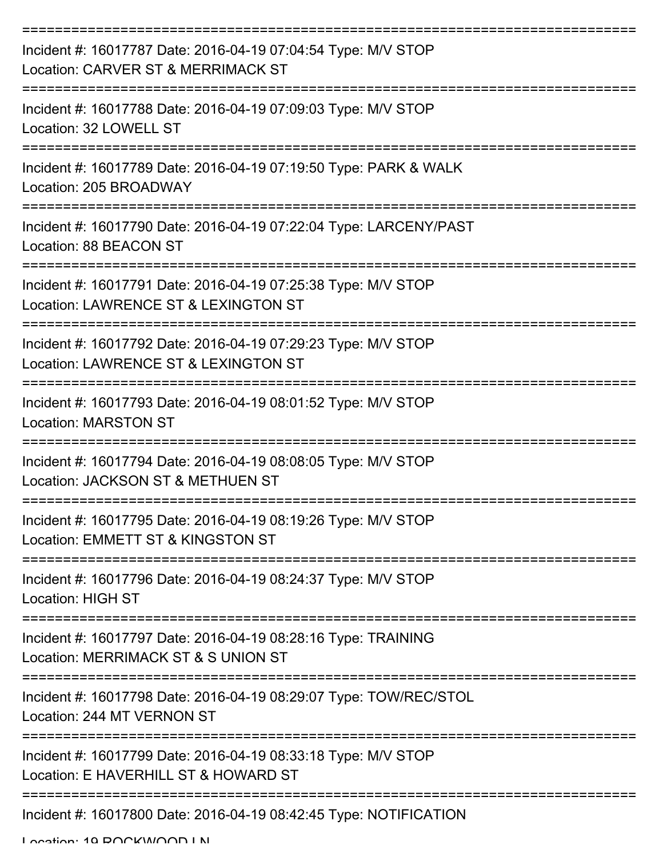| Incident #: 16017787 Date: 2016-04-19 07:04:54 Type: M/V STOP<br>Location: CARVER ST & MERRIMACK ST   |
|-------------------------------------------------------------------------------------------------------|
| Incident #: 16017788 Date: 2016-04-19 07:09:03 Type: M/V STOP<br>Location: 32 LOWELL ST               |
| Incident #: 16017789 Date: 2016-04-19 07:19:50 Type: PARK & WALK<br>Location: 205 BROADWAY            |
| Incident #: 16017790 Date: 2016-04-19 07:22:04 Type: LARCENY/PAST<br>Location: 88 BEACON ST           |
| Incident #: 16017791 Date: 2016-04-19 07:25:38 Type: M/V STOP<br>Location: LAWRENCE ST & LEXINGTON ST |
| Incident #: 16017792 Date: 2016-04-19 07:29:23 Type: M/V STOP<br>Location: LAWRENCE ST & LEXINGTON ST |
| Incident #: 16017793 Date: 2016-04-19 08:01:52 Type: M/V STOP<br><b>Location: MARSTON ST</b>          |
| Incident #: 16017794 Date: 2016-04-19 08:08:05 Type: M/V STOP<br>Location: JACKSON ST & METHUEN ST    |
| Incident #: 16017795 Date: 2016-04-19 08:19:26 Type: M/V STOP<br>Location: EMMETT ST & KINGSTON ST    |
| Incident #: 16017796 Date: 2016-04-19 08:24:37 Type: M/V STOP<br><b>Location: HIGH ST</b>             |
| Incident #: 16017797 Date: 2016-04-19 08:28:16 Type: TRAINING<br>Location: MERRIMACK ST & S UNION ST  |
| Incident #: 16017798 Date: 2016-04-19 08:29:07 Type: TOW/REC/STOL<br>Location: 244 MT VERNON ST       |
| Incident #: 16017799 Date: 2016-04-19 08:33:18 Type: M/V STOP<br>Location: E HAVERHILL ST & HOWARD ST |
| Incident #: 16017800 Date: 2016-04-19 08:42:45 Type: NOTIFICATION                                     |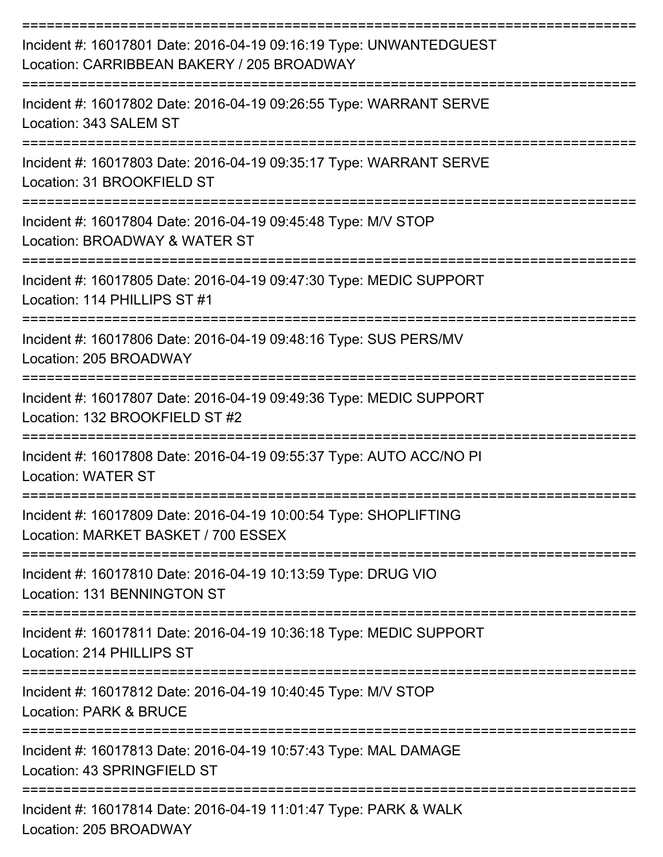| Incident #: 16017801 Date: 2016-04-19 09:16:19 Type: UNWANTEDGUEST<br>Location: CARRIBBEAN BAKERY / 205 BROADWAY |
|------------------------------------------------------------------------------------------------------------------|
| Incident #: 16017802 Date: 2016-04-19 09:26:55 Type: WARRANT SERVE<br>Location: 343 SALEM ST                     |
| Incident #: 16017803 Date: 2016-04-19 09:35:17 Type: WARRANT SERVE<br>Location: 31 BROOKFIELD ST                 |
| Incident #: 16017804 Date: 2016-04-19 09:45:48 Type: M/V STOP<br>Location: BROADWAY & WATER ST                   |
| Incident #: 16017805 Date: 2016-04-19 09:47:30 Type: MEDIC SUPPORT<br>Location: 114 PHILLIPS ST #1               |
| Incident #: 16017806 Date: 2016-04-19 09:48:16 Type: SUS PERS/MV<br>Location: 205 BROADWAY                       |
| Incident #: 16017807 Date: 2016-04-19 09:49:36 Type: MEDIC SUPPORT<br>Location: 132 BROOKFIELD ST #2             |
| Incident #: 16017808 Date: 2016-04-19 09:55:37 Type: AUTO ACC/NO PI<br><b>Location: WATER ST</b>                 |
| Incident #: 16017809 Date: 2016-04-19 10:00:54 Type: SHOPLIFTING<br>Location: MARKET BASKET / 700 ESSEX          |
| Incident #: 16017810 Date: 2016-04-19 10:13:59 Type: DRUG VIO<br>Location: 131 BENNINGTON ST                     |
| Incident #: 16017811 Date: 2016-04-19 10:36:18 Type: MEDIC SUPPORT<br>Location: 214 PHILLIPS ST                  |
| Incident #: 16017812 Date: 2016-04-19 10:40:45 Type: M/V STOP<br>Location: PARK & BRUCE                          |
| Incident #: 16017813 Date: 2016-04-19 10:57:43 Type: MAL DAMAGE<br>Location: 43 SPRINGFIELD ST                   |
| Incident #: 16017814 Date: 2016-04-19 11:01:47 Type: PARK & WALK<br>Location: 205 BROADWAY                       |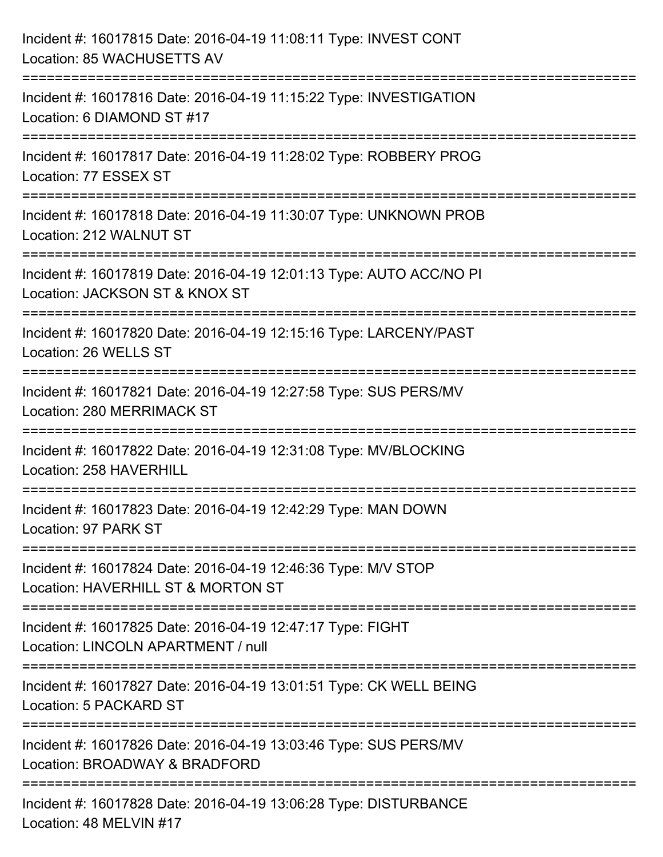| Incident #: 16017815 Date: 2016-04-19 11:08:11 Type: INVEST CONT<br>Location: 85 WACHUSETTS AV                                   |
|----------------------------------------------------------------------------------------------------------------------------------|
| :===========================<br>Incident #: 16017816 Date: 2016-04-19 11:15:22 Type: INVESTIGATION<br>Location: 6 DIAMOND ST #17 |
| Incident #: 16017817 Date: 2016-04-19 11:28:02 Type: ROBBERY PROG<br>Location: 77 ESSEX ST                                       |
| Incident #: 16017818 Date: 2016-04-19 11:30:07 Type: UNKNOWN PROB<br>Location: 212 WALNUT ST                                     |
| Incident #: 16017819 Date: 2016-04-19 12:01:13 Type: AUTO ACC/NO PI<br>Location: JACKSON ST & KNOX ST                            |
| Incident #: 16017820 Date: 2016-04-19 12:15:16 Type: LARCENY/PAST<br>Location: 26 WELLS ST                                       |
| Incident #: 16017821 Date: 2016-04-19 12:27:58 Type: SUS PERS/MV<br>Location: 280 MERRIMACK ST                                   |
| Incident #: 16017822 Date: 2016-04-19 12:31:08 Type: MV/BLOCKING<br>Location: 258 HAVERHILL                                      |
| Incident #: 16017823 Date: 2016-04-19 12:42:29 Type: MAN DOWN<br>Location: 97 PARK ST                                            |
| Incident #: 16017824 Date: 2016-04-19 12:46:36 Type: M/V STOP<br>Location: HAVERHILL ST & MORTON ST                              |
| Incident #: 16017825 Date: 2016-04-19 12:47:17 Type: FIGHT<br>Location: LINCOLN APARTMENT / null                                 |
| Incident #: 16017827 Date: 2016-04-19 13:01:51 Type: CK WELL BEING<br>Location: 5 PACKARD ST                                     |
| Incident #: 16017826 Date: 2016-04-19 13:03:46 Type: SUS PERS/MV<br>Location: BROADWAY & BRADFORD                                |
| Incident #: 16017828 Date: 2016-04-19 13:06:28 Type: DISTURBANCE<br>Location: 48 MELVIN #17                                      |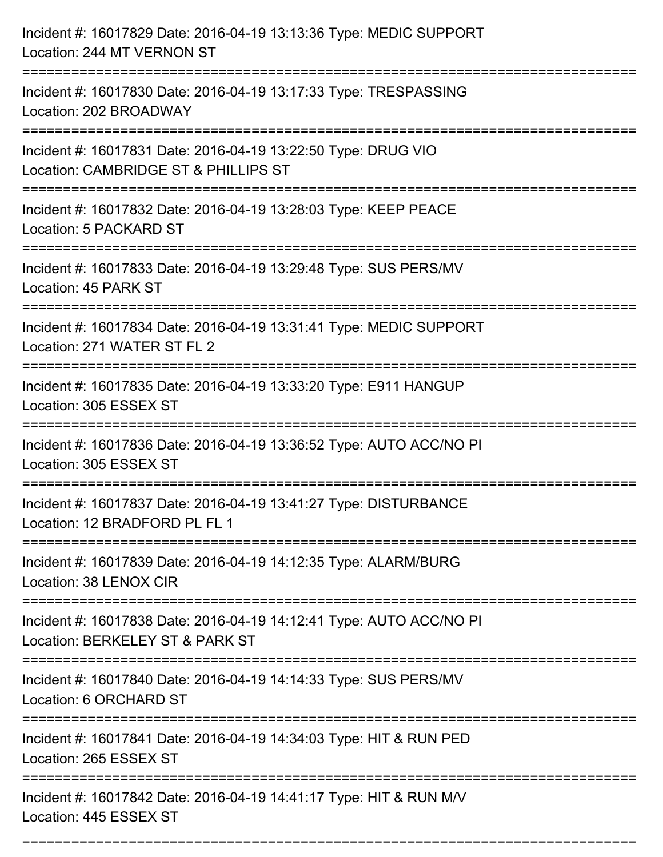| Incident #: 16017829 Date: 2016-04-19 13:13:36 Type: MEDIC SUPPORT<br>Location: 244 MT VERNON ST                             |
|------------------------------------------------------------------------------------------------------------------------------|
| Incident #: 16017830 Date: 2016-04-19 13:17:33 Type: TRESPASSING<br>Location: 202 BROADWAY                                   |
| Incident #: 16017831 Date: 2016-04-19 13:22:50 Type: DRUG VIO<br>Location: CAMBRIDGE ST & PHILLIPS ST                        |
| Incident #: 16017832 Date: 2016-04-19 13:28:03 Type: KEEP PEACE<br>Location: 5 PACKARD ST                                    |
| Incident #: 16017833 Date: 2016-04-19 13:29:48 Type: SUS PERS/MV<br>Location: 45 PARK ST                                     |
| Incident #: 16017834 Date: 2016-04-19 13:31:41 Type: MEDIC SUPPORT<br>Location: 271 WATER ST FL 2                            |
| Incident #: 16017835 Date: 2016-04-19 13:33:20 Type: E911 HANGUP<br>Location: 305 ESSEX ST                                   |
| Incident #: 16017836 Date: 2016-04-19 13:36:52 Type: AUTO ACC/NO PI<br>Location: 305 ESSEX ST                                |
| Incident #: 16017837 Date: 2016-04-19 13:41:27 Type: DISTURBANCE<br>Location: 12 BRADFORD PL FL 1                            |
| Incident #: 16017839 Date: 2016-04-19 14:12:35 Type: ALARM/BURG<br>Location: 38 LENOX CIR                                    |
| Incident #: 16017838 Date: 2016-04-19 14:12:41 Type: AUTO ACC/NO PI<br>Location: BERKELEY ST & PARK ST                       |
| Incident #: 16017840 Date: 2016-04-19 14:14:33 Type: SUS PERS/MV<br>Location: 6 ORCHARD ST<br>============================== |
| Incident #: 16017841 Date: 2016-04-19 14:34:03 Type: HIT & RUN PED<br>Location: 265 ESSEX ST<br>============================ |
| Incident #: 16017842 Date: 2016-04-19 14:41:17 Type: HIT & RUN M/V<br>Location: 445 ESSEX ST                                 |

===========================================================================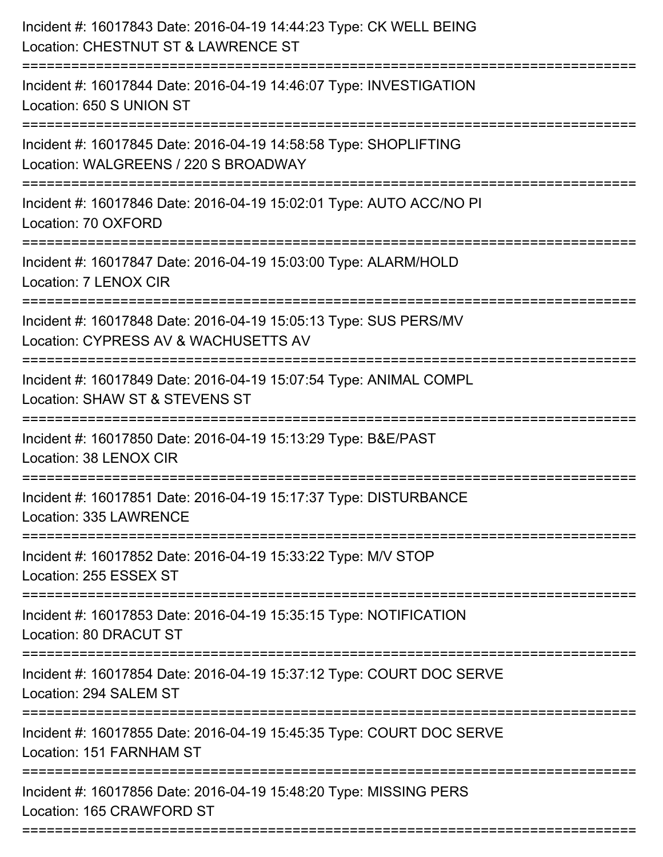| Incident #: 16017843 Date: 2016-04-19 14:44:23 Type: CK WELL BEING<br>Location: CHESTNUT ST & LAWRENCE ST<br>-------------------------     |
|--------------------------------------------------------------------------------------------------------------------------------------------|
| Incident #: 16017844 Date: 2016-04-19 14:46:07 Type: INVESTIGATION<br>Location: 650 S UNION ST                                             |
| Incident #: 16017845 Date: 2016-04-19 14:58:58 Type: SHOPLIFTING<br>Location: WALGREENS / 220 S BROADWAY<br>:============================= |
| Incident #: 16017846 Date: 2016-04-19 15:02:01 Type: AUTO ACC/NO PI<br>Location: 70 OXFORD                                                 |
| Incident #: 16017847 Date: 2016-04-19 15:03:00 Type: ALARM/HOLD<br>Location: 7 LENOX CIR                                                   |
| Incident #: 16017848 Date: 2016-04-19 15:05:13 Type: SUS PERS/MV<br>Location: CYPRESS AV & WACHUSETTS AV                                   |
| Incident #: 16017849 Date: 2016-04-19 15:07:54 Type: ANIMAL COMPL<br>Location: SHAW ST & STEVENS ST                                        |
| Incident #: 16017850 Date: 2016-04-19 15:13:29 Type: B&E/PAST<br>Location: 38 LENOX CIR                                                    |
| Incident #: 16017851 Date: 2016-04-19 15:17:37 Type: DISTURBANCE<br>Location: 335 LAWRENCE                                                 |
| :===============<br>Incident #: 16017852 Date: 2016-04-19 15:33:22 Type: M/V STOP<br>Location: 255 ESSEX ST                                |
| :===============================<br>Incident #: 16017853 Date: 2016-04-19 15:35:15 Type: NOTIFICATION<br>Location: 80 DRACUT ST            |
| Incident #: 16017854 Date: 2016-04-19 15:37:12 Type: COURT DOC SERVE<br>Location: 294 SALEM ST                                             |
| Incident #: 16017855 Date: 2016-04-19 15:45:35 Type: COURT DOC SERVE<br>Location: 151 FARNHAM ST                                           |
| Incident #: 16017856 Date: 2016-04-19 15:48:20 Type: MISSING PERS<br>Location: 165 CRAWFORD ST                                             |
|                                                                                                                                            |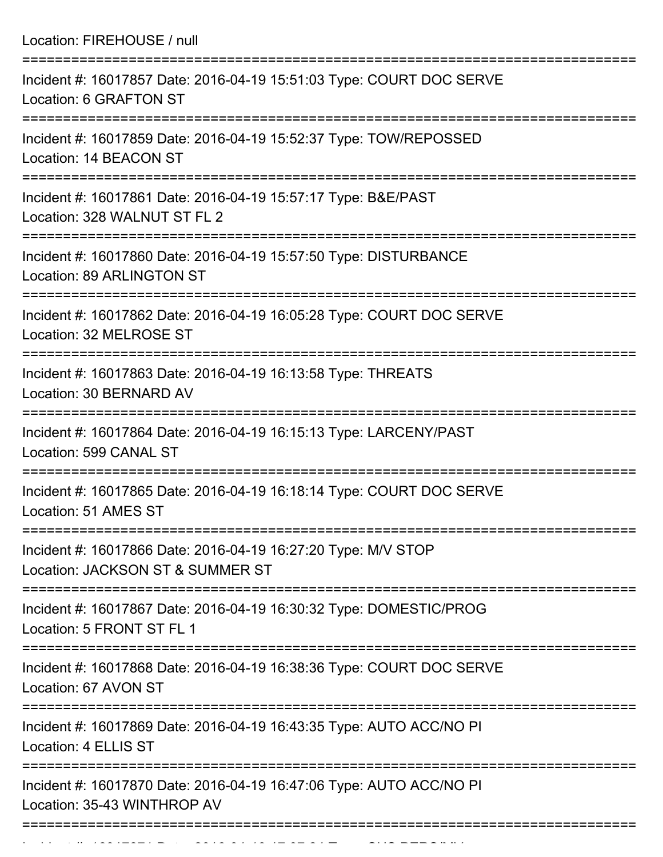Location: FIREHOUSE / null ===========================================================================

| Incident #: 16017857 Date: 2016-04-19 15:51:03 Type: COURT DOC SERVE<br>Location: 6 GRAFTON ST     |
|----------------------------------------------------------------------------------------------------|
| Incident #: 16017859 Date: 2016-04-19 15:52:37 Type: TOW/REPOSSED<br>Location: 14 BEACON ST        |
| Incident #: 16017861 Date: 2016-04-19 15:57:17 Type: B&E/PAST<br>Location: 328 WALNUT ST FL 2      |
| Incident #: 16017860 Date: 2016-04-19 15:57:50 Type: DISTURBANCE<br>Location: 89 ARLINGTON ST      |
| Incident #: 16017862 Date: 2016-04-19 16:05:28 Type: COURT DOC SERVE<br>Location: 32 MELROSE ST    |
| Incident #: 16017863 Date: 2016-04-19 16:13:58 Type: THREATS<br>Location: 30 BERNARD AV            |
| Incident #: 16017864 Date: 2016-04-19 16:15:13 Type: LARCENY/PAST<br>Location: 599 CANAL ST        |
| Incident #: 16017865 Date: 2016-04-19 16:18:14 Type: COURT DOC SERVE<br>Location: 51 AMES ST       |
| Incident #: 16017866 Date: 2016-04-19 16:27:20 Type: M/V STOP<br>Location: JACKSON ST & SUMMER ST  |
| Incident #: 16017867 Date: 2016-04-19 16:30:32 Type: DOMESTIC/PROG<br>Location: 5 FRONT ST FL 1    |
| Incident #: 16017868 Date: 2016-04-19 16:38:36 Type: COURT DOC SERVE<br>Location: 67 AVON ST       |
| Incident #: 16017869 Date: 2016-04-19 16:43:35 Type: AUTO ACC/NO PI<br>Location: 4 ELLIS ST        |
| Incident #: 16017870 Date: 2016-04-19 16:47:06 Type: AUTO ACC/NO PI<br>Location: 35-43 WINTHROP AV |
|                                                                                                    |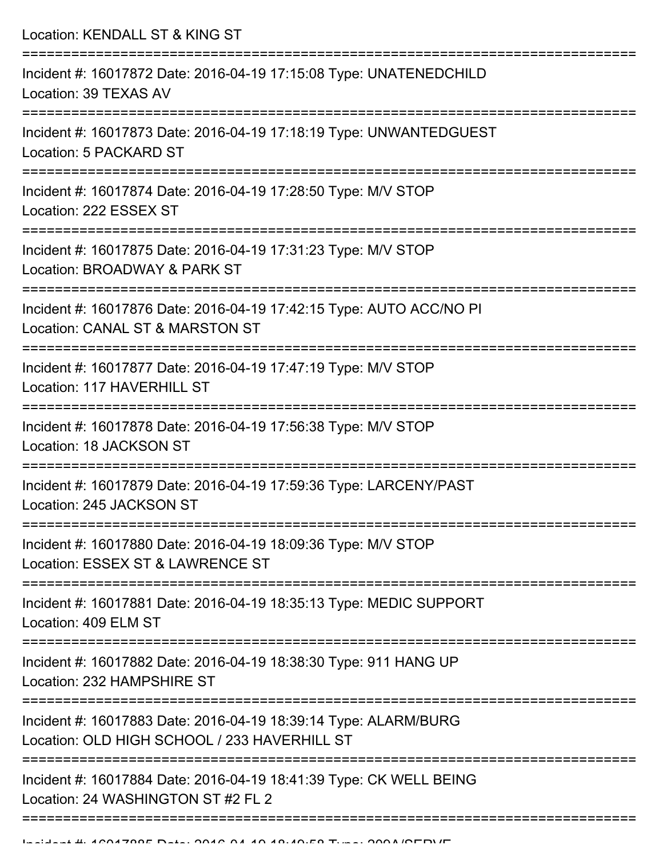Location: KENDALL ST & KING ST =========================================================================== Incident #: 16017872 Date: 2016-04-19 17:15:08 Type: UNATENEDCHILD Location: 39 TEXAS AV =========================================================================== Incident #: 16017873 Date: 2016-04-19 17:18:19 Type: UNWANTEDGUEST Location: 5 PACKARD ST =========================================================================== Incident #: 16017874 Date: 2016-04-19 17:28:50 Type: M/V STOP Location: 222 ESSEX ST =========================================================================== Incident #: 16017875 Date: 2016-04-19 17:31:23 Type: M/V STOP Location: BROADWAY & PARK ST =========================================================================== Incident #: 16017876 Date: 2016-04-19 17:42:15 Type: AUTO ACC/NO PI Location: CANAL ST & MARSTON ST =========================================================================== Incident #: 16017877 Date: 2016-04-19 17:47:19 Type: M/V STOP Location: 117 HAVERHILL ST =========================================================================== Incident #: 16017878 Date: 2016-04-19 17:56:38 Type: M/V STOP Location: 18 JACKSON ST =========================================================================== Incident #: 16017879 Date: 2016-04-19 17:59:36 Type: LARCENY/PAST Location: 245 JACKSON ST =========================================================================== Incident #: 16017880 Date: 2016-04-19 18:09:36 Type: M/V STOP Location: ESSEX ST & LAWRENCE ST =========================================================================== Incident #: 16017881 Date: 2016-04-19 18:35:13 Type: MEDIC SUPPORT Location: 409 FLM ST =========================================================================== Incident #: 16017882 Date: 2016-04-19 18:38:30 Type: 911 HANG UP Location: 232 HAMPSHIRE ST =========================================================================== Incident #: 16017883 Date: 2016-04-19 18:39:14 Type: ALARM/BURG Location: OLD HIGH SCHOOL / 233 HAVERHILL ST =========================================================================== Incident #: 16017884 Date: 2016-04-19 18:41:39 Type: CK WELL BEING Location: 24 WASHINGTON ST #2 FL 2 ===========================================================================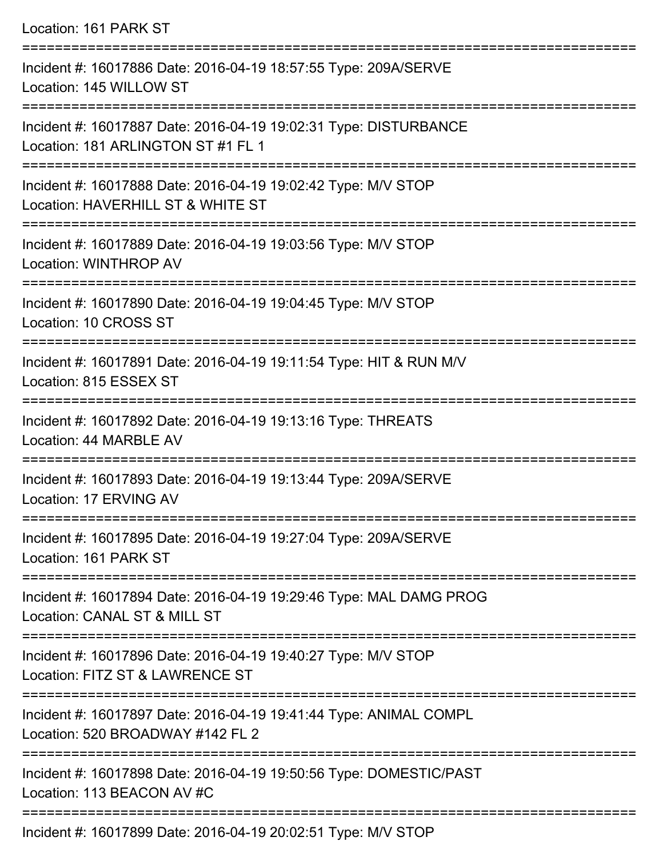Location: 161 PARK ST =========================================================================== Incident #: 16017886 Date: 2016-04-19 18:57:55 Type: 209A/SERVE Location: 145 WILLOW ST =========================================================================== Incident #: 16017887 Date: 2016-04-19 19:02:31 Type: DISTURBANCE Location: 181 ARLINGTON ST #1 FL 1 =========================================================================== Incident #: 16017888 Date: 2016-04-19 19:02:42 Type: M/V STOP Location: HAVERHILL ST & WHITE ST =========================================================================== Incident #: 16017889 Date: 2016-04-19 19:03:56 Type: M/V STOP Location: WINTHROP AV =========================================================================== Incident #: 16017890 Date: 2016-04-19 19:04:45 Type: M/V STOP Location: 10 CROSS ST =========================================================================== Incident #: 16017891 Date: 2016-04-19 19:11:54 Type: HIT & RUN M/V Location: 815 ESSEX ST =========================================================================== Incident #: 16017892 Date: 2016-04-19 19:13:16 Type: THREATS Location: 44 MARBLE AV =========================================================================== Incident #: 16017893 Date: 2016-04-19 19:13:44 Type: 209A/SERVE Location: 17 ERVING AV =========================================================================== Incident #: 16017895 Date: 2016-04-19 19:27:04 Type: 209A/SERVE Location: 161 PARK ST =========================================================================== Incident #: 16017894 Date: 2016-04-19 19:29:46 Type: MAL DAMG PROG Location: CANAL ST & MILL ST =========================================================================== Incident #: 16017896 Date: 2016-04-19 19:40:27 Type: M/V STOP Location: FITZ ST & LAWRENCE ST =========================================================================== Incident #: 16017897 Date: 2016-04-19 19:41:44 Type: ANIMAL COMPL Location: 520 BROADWAY #142 FL 2 =========================================================================== Incident #: 16017898 Date: 2016-04-19 19:50:56 Type: DOMESTIC/PAST Location: 113 BEACON AV #C ===========================================================================

Incident #: 16017899 Date: 2016-04-19 20:02:51 Type: M/V STOP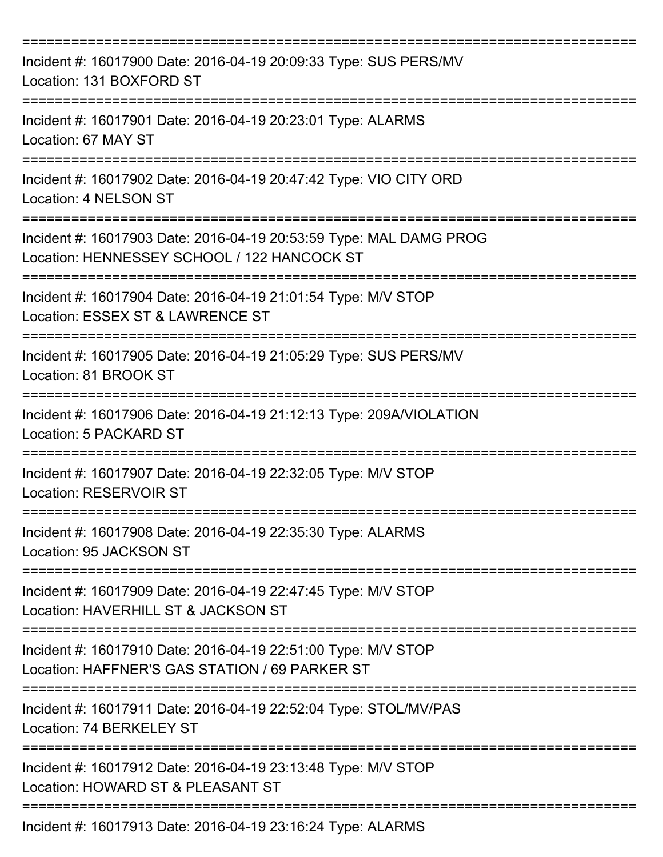| Incident #: 16017900 Date: 2016-04-19 20:09:33 Type: SUS PERS/MV<br>Location: 131 BOXFORD ST                      |
|-------------------------------------------------------------------------------------------------------------------|
| Incident #: 16017901 Date: 2016-04-19 20:23:01 Type: ALARMS<br>Location: 67 MAY ST                                |
| Incident #: 16017902 Date: 2016-04-19 20:47:42 Type: VIO CITY ORD<br>Location: 4 NELSON ST                        |
| Incident #: 16017903 Date: 2016-04-19 20:53:59 Type: MAL DAMG PROG<br>Location: HENNESSEY SCHOOL / 122 HANCOCK ST |
| Incident #: 16017904 Date: 2016-04-19 21:01:54 Type: M/V STOP<br>Location: ESSEX ST & LAWRENCE ST                 |
| Incident #: 16017905 Date: 2016-04-19 21:05:29 Type: SUS PERS/MV<br>Location: 81 BROOK ST                         |
| Incident #: 16017906 Date: 2016-04-19 21:12:13 Type: 209A/VIOLATION<br><b>Location: 5 PACKARD ST</b>              |
| Incident #: 16017907 Date: 2016-04-19 22:32:05 Type: M/V STOP<br>Location: RESERVOIR ST                           |
| Incident #: 16017908 Date: 2016-04-19 22:35:30 Type: ALARMS<br>Location: 95 JACKSON ST                            |
| Incident #: 16017909 Date: 2016-04-19 22:47:45 Type: M/V STOP<br>Location: HAVERHILL ST & JACKSON ST              |
| Incident #: 16017910 Date: 2016-04-19 22:51:00 Type: M/V STOP<br>Location: HAFFNER'S GAS STATION / 69 PARKER ST   |
| Incident #: 16017911 Date: 2016-04-19 22:52:04 Type: STOL/MV/PAS<br>Location: 74 BERKELEY ST                      |
| Incident #: 16017912 Date: 2016-04-19 23:13:48 Type: M/V STOP<br>Location: HOWARD ST & PLEASANT ST                |
| Incident #: 16017913 Date: 2016-04-19 23:16:24 Type: ALARMS                                                       |